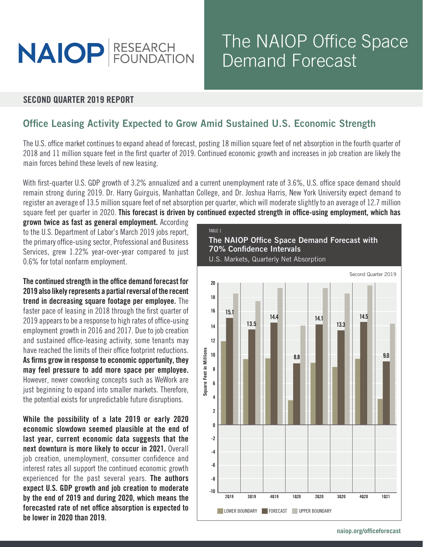

# The NAIOP Office Space Demand Forecast

#### SECOND QUARTER 2019 REPORT

## Office Leasing Activity Expected to Grow Amid Sustained U.S. Economic Strength

The U.S. office market continues to expand ahead of forecast, posting 18 million square feet of net absorption in the fourth quarter of 2018 and 11 million square feet in the first quarter of 2019. Continued economic growth and increases in job creation are likely the main forces behind these levels of new leasing.

With first-quarter U.S. GDP growth of 3.2% annualized and a current unemployment rate of 3.6%, U.S. office space demand should remain strong during 2019. Dr. Harry Guirguis, Manhattan College, and Dr. Joshua Harris, New York University expect demand to register an average of 13.5 million square feet of net absorption per quarter, which will moderate slightly to an average of 12.7 million square feet per quarter in 2020. This forecast is driven by continued expected strength in office-using employment, which has

grown twice as fast as general employment. According to the U.S. Department of Labor's March 2019 jobs report, the primary office-using sector, Professional and Business Services, grew 1.22% year-over-year compared to just 0.6% for total nonfarm employment.

The continued strength in the office demand forecast for 2019 also likely represents a partial reversal of the recent trend in decreasing square footage per employee. The faster pace of leasing in 2018 through the first quarter of 2019 appears to be a response to high rates of office-using employment growth in 2016 and 2017. Due to job creation and sustained office-leasing activity, some tenants may have reached the limits of their office footprint reductions. As firms grow in response to economic opportunity, they may feel pressure to add more space per employee. However, newer coworking concepts such as WeWork are just beginning to expand into smaller markets. Therefore, the potential exists for unpredictable future disruptions.

While the possibility of a late 2019 or early 2020 economic slowdown seemed plausible at the end of last year, current economic data suggests that the next downturn is more likely to occur in 2021. Overall job creation, unemployment, consumer confidence and interest rates all support the continued economic growth experienced for the past several years. The authors expect U.S. GDP growth and job creation to moderate by the end of 2019 and during 2020, which means the forecasted rate of net office absorption is expected to be lower in 2020 than 2019.